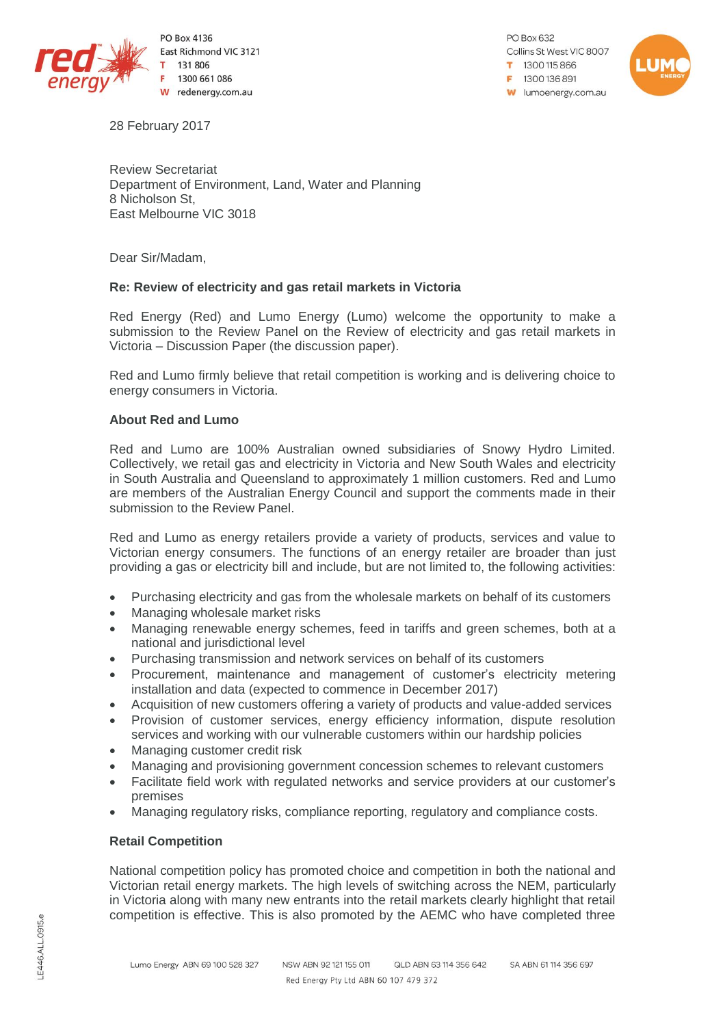

PO Box 4136 East Richmond VIC 3121 131 806 1300 661 086 W redenergy.com.au

PO Box 632 Collins St West VIC 8007 1300115866  $= 1300136891$ **W** lumoenergy.com.au



28 February 2017

Review Secretariat Department of Environment, Land, Water and Planning 8 Nicholson St, East Melbourne VIC 3018

Dear Sir/Madam,

## **Re: Review of electricity and gas retail markets in Victoria**

Red Energy (Red) and Lumo Energy (Lumo) welcome the opportunity to make a submission to the Review Panel on the Review of electricity and gas retail markets in Victoria – Discussion Paper (the discussion paper).

Red and Lumo firmly believe that retail competition is working and is delivering choice to energy consumers in Victoria.

## **About Red and Lumo**

Red and Lumo are 100% Australian owned subsidiaries of Snowy Hydro Limited. Collectively, we retail gas and electricity in Victoria and New South Wales and electricity in South Australia and Queensland to approximately 1 million customers. Red and Lumo are members of the Australian Energy Council and support the comments made in their submission to the Review Panel.

Red and Lumo as energy retailers provide a variety of products, services and value to Victorian energy consumers. The functions of an energy retailer are broader than just providing a gas or electricity bill and include, but are not limited to, the following activities:

- Purchasing electricity and gas from the wholesale markets on behalf of its customers
- Managing wholesale market risks
- Managing renewable energy schemes, feed in tariffs and green schemes, both at a national and jurisdictional level
- Purchasing transmission and network services on behalf of its customers
- Procurement, maintenance and management of customer's electricity metering installation and data (expected to commence in December 2017)
- Acquisition of new customers offering a variety of products and value-added services
- Provision of customer services, energy efficiency information, dispute resolution services and working with our vulnerable customers within our hardship policies
- Managing customer credit risk
- Managing and provisioning government concession schemes to relevant customers
- Facilitate field work with regulated networks and service providers at our customer's premises
- Managing regulatory risks, compliance reporting, regulatory and compliance costs.

## **Retail Competition**

National competition policy has promoted choice and competition in both the national and Victorian retail energy markets. The high levels of switching across the NEM, particularly in Victoria along with many new entrants into the retail markets clearly highlight that retail competition is effective. This is also promoted by the AEMC who have completed three